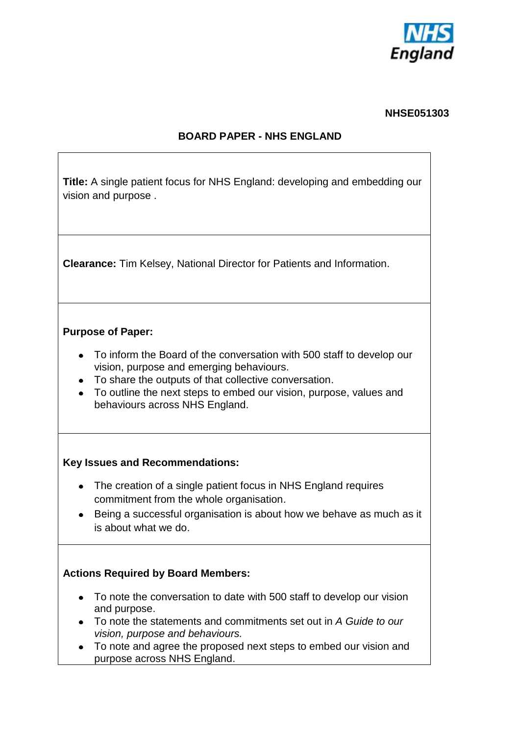

# **NHSE051303**

### **BOARD PAPER - NHS ENGLAND**

| <b>Title:</b> A single patient focus for NHS England: developing and embedding our<br>vision and purpose.                                                                                                                                                                          |  |  |
|------------------------------------------------------------------------------------------------------------------------------------------------------------------------------------------------------------------------------------------------------------------------------------|--|--|
| <b>Clearance:</b> Tim Kelsey, National Director for Patients and Information.                                                                                                                                                                                                      |  |  |
| <b>Purpose of Paper:</b>                                                                                                                                                                                                                                                           |  |  |
| To inform the Board of the conversation with 500 staff to develop our<br>vision, purpose and emerging behaviours.<br>To share the outputs of that collective conversation.<br>To outline the next steps to embed our vision, purpose, values and<br>behaviours across NHS England. |  |  |
| <b>Key Issues and Recommendations:</b>                                                                                                                                                                                                                                             |  |  |
| The creation of a single patient focus in NHS England requires<br>commitment from the whole organisation.<br>Being a successful organisation is about how we behave as much as it                                                                                                  |  |  |
| is about what we do.                                                                                                                                                                                                                                                               |  |  |
| <b>Actions Required by Board Members:</b>                                                                                                                                                                                                                                          |  |  |
| To note the conversation to date with 500 staff to develop our vision                                                                                                                                                                                                              |  |  |
| and purpose.<br>To note the statements and commitments set out in A Guide to our                                                                                                                                                                                                   |  |  |
| vision, purpose and behaviours.<br>To note and agree the proposed next steps to embed our vision and<br>purpose across NHS England.                                                                                                                                                |  |  |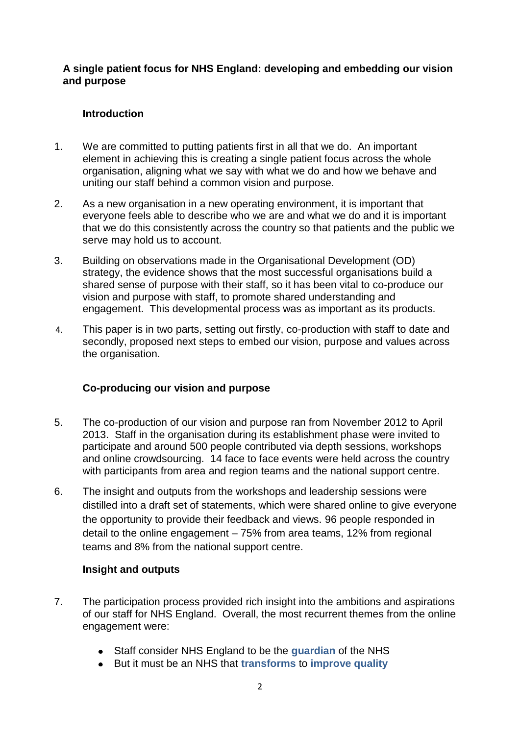#### **A single patient focus for NHS England: developing and embedding our vision and purpose**

## **Introduction**

- 1. We are committed to putting patients first in all that we do. An important element in achieving this is creating a single patient focus across the whole organisation, aligning what we say with what we do and how we behave and uniting our staff behind a common vision and purpose.
- 2. As a new organisation in a new operating environment, it is important that everyone feels able to describe who we are and what we do and it is important that we do this consistently across the country so that patients and the public we serve may hold us to account.
- 3. Building on observations made in the Organisational Development (OD) strategy, the evidence shows that the most successful organisations build a shared sense of purpose with their staff, so it has been vital to co-produce our vision and purpose with staff, to promote shared understanding and engagement. This developmental process was as important as its products.
- 4. This paper is in two parts, setting out firstly, co-production with staff to date and secondly, proposed next steps to embed our vision, purpose and values across the organisation.

### **Co-producing our vision and purpose**

- 5. The co-production of our vision and purpose ran from November 2012 to April 2013. Staff in the organisation during its establishment phase were invited to participate and around 500 people contributed via depth sessions, workshops and online crowdsourcing. 14 face to face events were held across the country with participants from area and region teams and the national support centre.
- 6. The insight and outputs from the workshops and leadership sessions were distilled into a draft set of statements, which were shared online to give everyone the opportunity to provide their feedback and views. 96 people responded in detail to the online engagement – 75% from area teams, 12% from regional teams and 8% from the national support centre.

### **Insight and outputs**

- 7. The participation process provided rich insight into the ambitions and aspirations of our staff for NHS England. Overall, the most recurrent themes from the online engagement were:
	- Staff consider NHS England to be the **guardian** of the NHS
	- But it must be an NHS that **transforms** to **improve quality**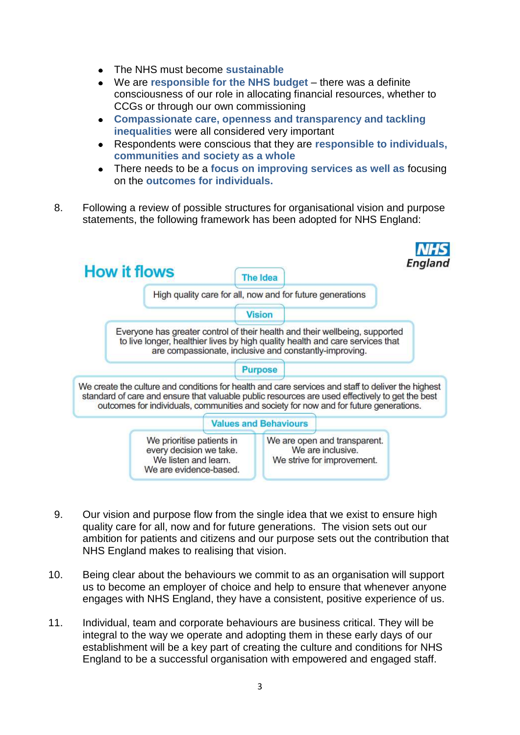- The NHS must become **sustainable**
- We are **responsible for the NHS budget** there was a definite consciousness of our role in allocating financial resources, whether to CCGs or through our own commissioning
- **Compassionate care, openness and transparency and tackling inequalities** were all considered very important
- Respondents were conscious that they are **responsible to individuals, communities and society as a whole**
- There needs to be a **focus on improving services as well as** focusing on the **outcomes for individuals.**
- 8. Following a review of possible structures for organisational vision and purpose statements, the following framework has been adopted for NHS England:



- 9. Our vision and purpose flow from the single idea that we exist to ensure high quality care for all, now and for future generations. The vision sets out our ambition for patients and citizens and our purpose sets out the contribution that NHS England makes to realising that vision.
- 10. Being clear about the behaviours we commit to as an organisation will support us to become an employer of choice and help to ensure that whenever anyone engages with NHS England, they have a consistent, positive experience of us.
- 11. Individual, team and corporate behaviours are business critical. They will be integral to the way we operate and adopting them in these early days of our establishment will be a key part of creating the culture and conditions for NHS England to be a successful organisation with empowered and engaged staff.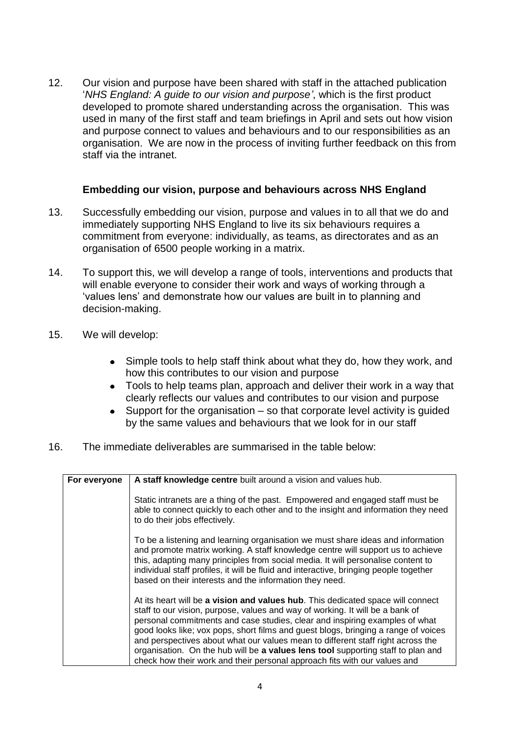12. Our vision and purpose have been shared with staff in the attached publication '*NHS England: A guide to our vision and purpose'*, which is the first product developed to promote shared understanding across the organisation. This was used in many of the first staff and team briefings in April and sets out how vision and purpose connect to values and behaviours and to our responsibilities as an organisation. We are now in the process of inviting further feedback on this from staff via the intranet.

#### **Embedding our vision, purpose and behaviours across NHS England**

- 13. Successfully embedding our vision, purpose and values in to all that we do and immediately supporting NHS England to live its six behaviours requires a commitment from everyone: individually, as teams, as directorates and as an organisation of 6500 people working in a matrix.
- 14. To support this, we will develop a range of tools, interventions and products that will enable everyone to consider their work and ways of working through a 'values lens' and demonstrate how our values are built in to planning and decision-making.
- 15. We will develop:
	- Simple tools to help staff think about what they do, how they work, and how this contributes to our vision and purpose
	- Tools to help teams plan, approach and deliver their work in a way that clearly reflects our values and contributes to our vision and purpose
	- Support for the organisation so that corporate level activity is guided by the same values and behaviours that we look for in our staff
- 16. The immediate deliverables are summarised in the table below:

| For everyone | A staff knowledge centre built around a vision and values hub.                                                                                                                                                                                                                                                                                                                                                                                                                                                                                                                            |
|--------------|-------------------------------------------------------------------------------------------------------------------------------------------------------------------------------------------------------------------------------------------------------------------------------------------------------------------------------------------------------------------------------------------------------------------------------------------------------------------------------------------------------------------------------------------------------------------------------------------|
|              | Static intranets are a thing of the past. Empowered and engaged staff must be<br>able to connect quickly to each other and to the insight and information they need<br>to do their jobs effectively.                                                                                                                                                                                                                                                                                                                                                                                      |
|              | To be a listening and learning organisation we must share ideas and information<br>and promote matrix working. A staff knowledge centre will support us to achieve<br>this, adapting many principles from social media. It will personalise content to<br>individual staff profiles, it will be fluid and interactive, bringing people together<br>based on their interests and the information they need.                                                                                                                                                                                |
|              | At its heart will be a vision and values hub. This dedicated space will connect<br>staff to our vision, purpose, values and way of working. It will be a bank of<br>personal commitments and case studies, clear and inspiring examples of what<br>good looks like; vox pops, short films and guest blogs, bringing a range of voices<br>and perspectives about what our values mean to different staff right across the<br>organisation. On the hub will be a values lens tool supporting staff to plan and<br>check how their work and their personal approach fits with our values and |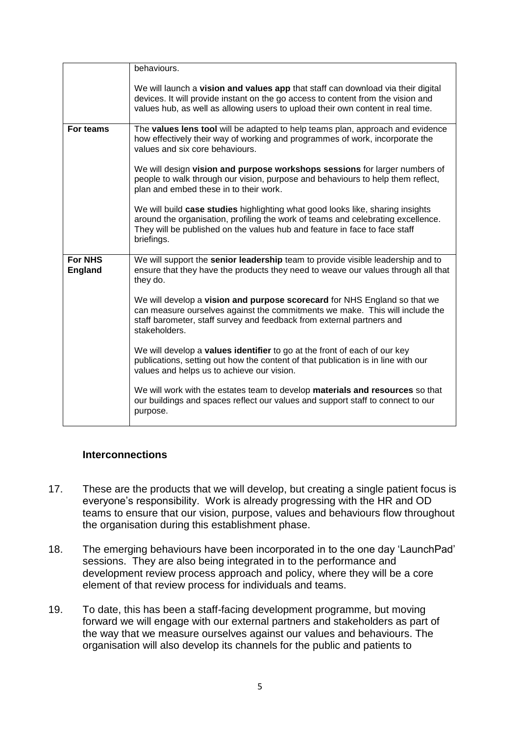|                                  | behaviours.                                                                                                                                                                                                                                                    |
|----------------------------------|----------------------------------------------------------------------------------------------------------------------------------------------------------------------------------------------------------------------------------------------------------------|
|                                  | We will launch a vision and values app that staff can download via their digital<br>devices. It will provide instant on the go access to content from the vision and<br>values hub, as well as allowing users to upload their own content in real time.        |
| For teams                        | The values lens tool will be adapted to help teams plan, approach and evidence<br>how effectively their way of working and programmes of work, incorporate the<br>values and six core behaviours.                                                              |
|                                  | We will design vision and purpose workshops sessions for larger numbers of<br>people to walk through our vision, purpose and behaviours to help them reflect,<br>plan and embed these in to their work.                                                        |
|                                  | We will build case studies highlighting what good looks like, sharing insights<br>around the organisation, profiling the work of teams and celebrating excellence.<br>They will be published on the values hub and feature in face to face staff<br>briefings. |
| <b>For NHS</b><br><b>England</b> | We will support the senior leadership team to provide visible leadership and to<br>ensure that they have the products they need to weave our values through all that<br>they do.                                                                               |
|                                  | We will develop a vision and purpose scorecard for NHS England so that we<br>can measure ourselves against the commitments we make. This will include the<br>staff barometer, staff survey and feedback from external partners and<br>stakeholders.            |
|                                  | We will develop a values identifier to go at the front of each of our key<br>publications, setting out how the content of that publication is in line with our<br>values and helps us to achieve our vision.                                                   |
|                                  | We will work with the estates team to develop materials and resources so that<br>our buildings and spaces reflect our values and support staff to connect to our<br>purpose.                                                                                   |

### **Interconnections**

- 17. These are the products that we will develop, but creating a single patient focus is everyone's responsibility. Work is already progressing with the HR and OD teams to ensure that our vision, purpose, values and behaviours flow throughout the organisation during this establishment phase.
- 18. The emerging behaviours have been incorporated in to the one day 'LaunchPad' sessions. They are also being integrated in to the performance and development review process approach and policy, where they will be a core element of that review process for individuals and teams.
- 19. To date, this has been a staff-facing development programme, but moving forward we will engage with our external partners and stakeholders as part of the way that we measure ourselves against our values and behaviours. The organisation will also develop its channels for the public and patients to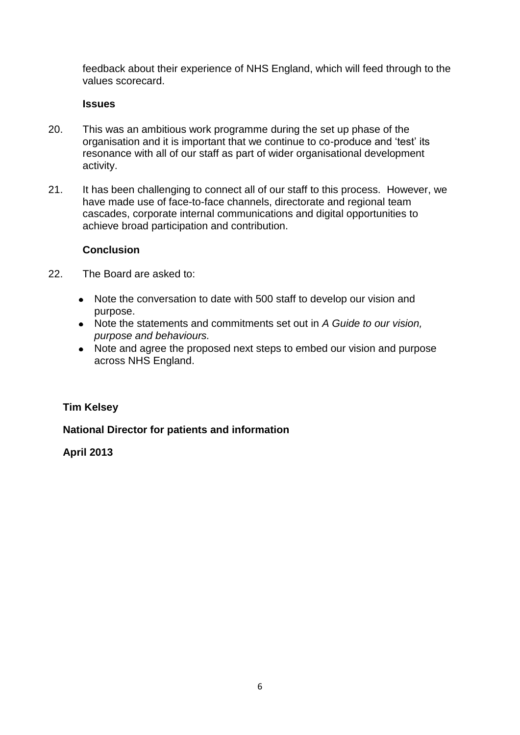feedback about their experience of NHS England, which will feed through to the values scorecard.

#### **Issues**

- 20. This was an ambitious work programme during the set up phase of the organisation and it is important that we continue to co-produce and 'test' its resonance with all of our staff as part of wider organisational development activity.
- 21. It has been challenging to connect all of our staff to this process. However, we have made use of face-to-face channels, directorate and regional team cascades, corporate internal communications and digital opportunities to achieve broad participation and contribution.

#### **Conclusion**

- 22. The Board are asked to:
	- Note the conversation to date with 500 staff to develop our vision and purpose.
	- Note the statements and commitments set out in *A Guide to our vision, purpose and behaviours.*
	- Note and agree the proposed next steps to embed our vision and purpose across NHS England.

### **Tim Kelsey**

### **National Director for patients and information**

#### **April 2013**